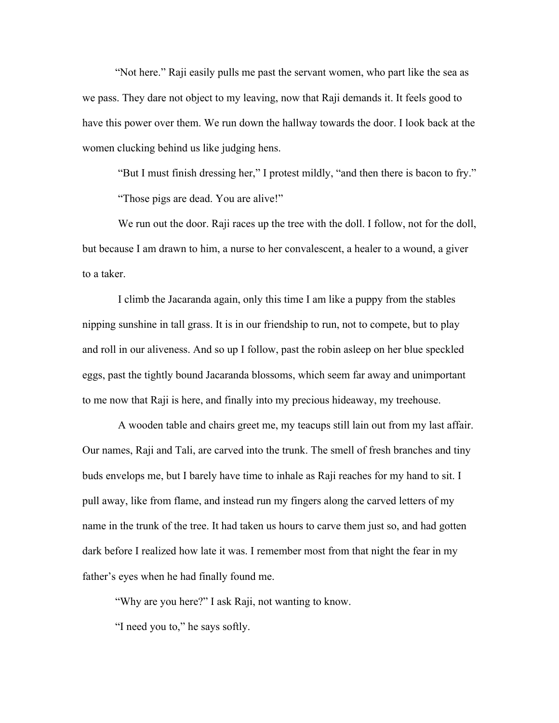"Not here." Raji easily pulls me past the servant women, who part like the sea as we pass. They dare not object to my leaving, now that Raji demands it. It feels good to have this power over them. We run down the hallway towards the door. I look back at the women clucking behind us like judging hens.

"But I must finish dressing her," I protest mildly, "and then there is bacon to fry."

"Those pigs are dead. You are alive!"

We run out the door. Raji races up the tree with the doll. I follow, not for the doll, but because I am drawn to him, a nurse to her convalescent, a healer to a wound, a giver to a taker.

I climb the Jacaranda again, only this time I am like a puppy from the stables nipping sunshine in tall grass. It is in our friendship to run, not to compete, but to play and roll in our aliveness. And so up I follow, past the robin asleep on her blue speckled eggs, past the tightly bound Jacaranda blossoms, which seem far away and unimportant to me now that Raji is here, and finally into my precious hideaway, my treehouse.

A wooden table and chairs greet me, my teacups still lain out from my last affair. Our names, Raji and Tali, are carved into the trunk. The smell of fresh branches and tiny buds envelops me, but I barely have time to inhale as Raji reaches for my hand to sit. I pull away, like from flame, and instead run my fingers along the carved letters of my name in the trunk of the tree. It had taken us hours to carve them just so, and had gotten dark before I realized how late it was. I remember most from that night the fear in my father's eyes when he had finally found me.

"Why are you here?" I ask Raji, not wanting to know.

"I need you to," he says softly.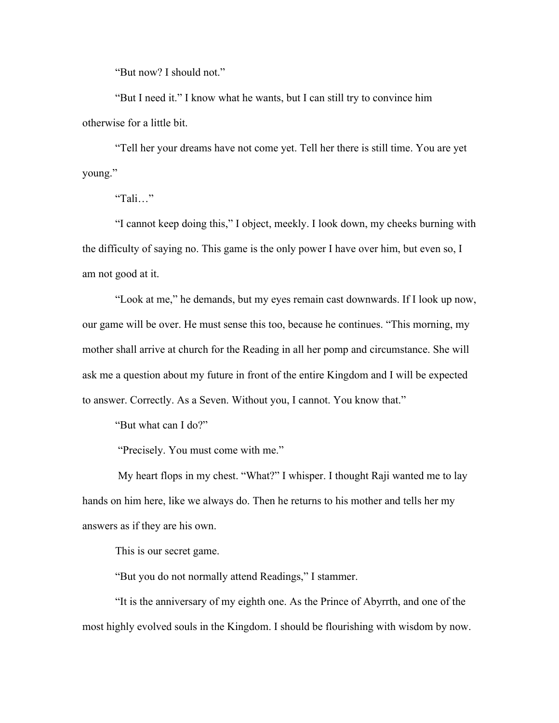"But now? I should not."

"But I need it." I know what he wants, but I can still try to convince him otherwise for a little bit.

"Tell her your dreams have not come yet. Tell her there is still time. You are yet young."

"Tali…"

"I cannot keep doing this," I object, meekly. I look down, my cheeks burning with the difficulty of saying no. This game is the only power I have over him, but even so, I am not good at it.

"Look at me," he demands, but my eyes remain cast downwards. If I look up now, our game will be over. He must sense this too, because he continues. "This morning, my mother shall arrive at church for the Reading in all her pomp and circumstance. She will ask me a question about my future in front of the entire Kingdom and I will be expected to answer. Correctly. As a Seven. Without you, I cannot. You know that."

"But what can I do?"

"Precisely. You must come with me."

My heart flops in my chest. "What?" I whisper. I thought Raji wanted me to lay hands on him here, like we always do. Then he returns to his mother and tells her my answers as if they are his own.

This is our secret game.

"But you do not normally attend Readings," I stammer.

"It is the anniversary of my eighth one. As the Prince of Abyrrth, and one of the most highly evolved souls in the Kingdom. I should be flourishing with wisdom by now.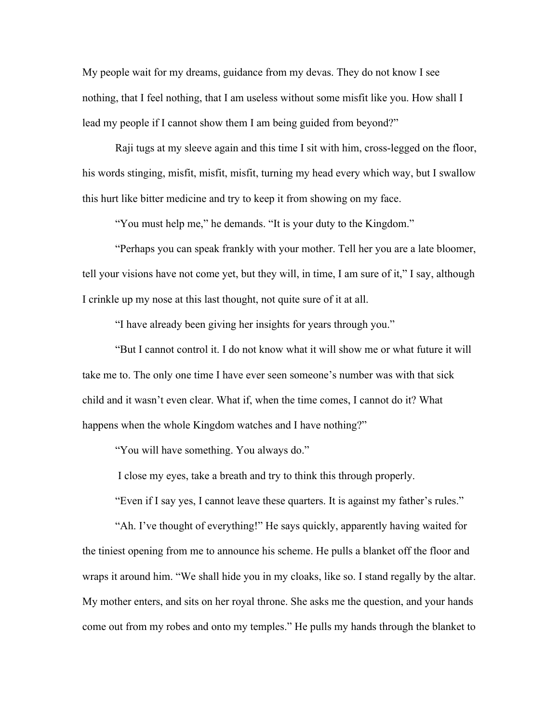My people wait for my dreams, guidance from my devas. They do not know I see nothing, that I feel nothing, that I am useless without some misfit like you. How shall I lead my people if I cannot show them I am being guided from beyond?"

Raji tugs at my sleeve again and this time I sit with him, cross-legged on the floor, his words stinging, misfit, misfit, misfit, turning my head every which way, but I swallow this hurt like bitter medicine and try to keep it from showing on my face.

"You must help me," he demands. "It is your duty to the Kingdom."

"Perhaps you can speak frankly with your mother. Tell her you are a late bloomer, tell your visions have not come yet, but they will, in time, I am sure of it," I say, although I crinkle up my nose at this last thought, not quite sure of it at all.

"I have already been giving her insights for years through you."

"But I cannot control it. I do not know what it will show me or what future it will take me to. The only one time I have ever seen someone's number was with that sick child and it wasn't even clear. What if, when the time comes, I cannot do it? What happens when the whole Kingdom watches and I have nothing?"

"You will have something. You always do."

I close my eyes, take a breath and try to think this through properly.

"Even if I say yes, I cannot leave these quarters. It is against my father's rules."

"Ah. I've thought of everything!" He says quickly, apparently having waited for the tiniest opening from me to announce his scheme. He pulls a blanket off the floor and wraps it around him. "We shall hide you in my cloaks, like so. I stand regally by the altar. My mother enters, and sits on her royal throne. She asks me the question, and your hands come out from my robes and onto my temples." He pulls my hands through the blanket to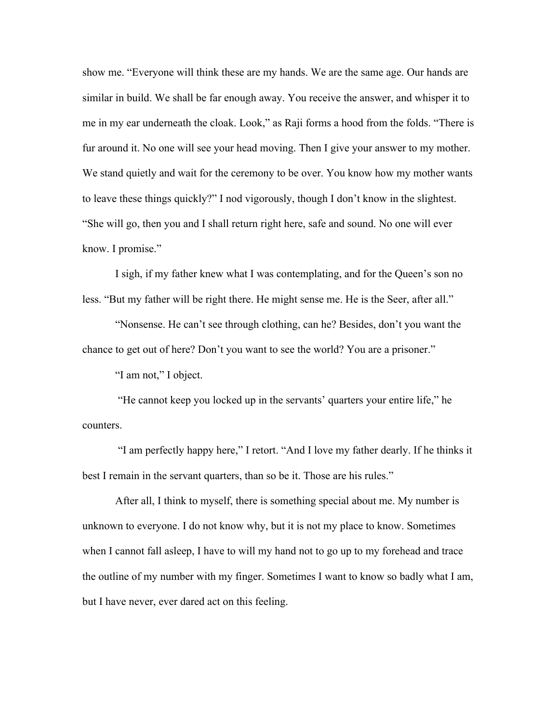show me. "Everyone will think these are my hands. We are the same age. Our hands are similar in build. We shall be far enough away. You receive the answer, and whisper it to me in my ear underneath the cloak. Look," as Raji forms a hood from the folds. "There is fur around it. No one will see your head moving. Then I give your answer to my mother. We stand quietly and wait for the ceremony to be over. You know how my mother wants to leave these things quickly?" I nod vigorously, though I don't know in the slightest. "She will go, then you and I shall return right here, safe and sound. No one will ever know. I promise."

I sigh, if my father knew what I was contemplating, and for the Queen's son no less. "But my father will be right there. He might sense me. He is the Seer, after all."

"Nonsense. He can't see through clothing, can he? Besides, don't you want the chance to get out of here? Don't you want to see the world? You are a prisoner."

"I am not," I object.

"He cannot keep you locked up in the servants' quarters your entire life," he counters.

"I am perfectly happy here," I retort. "And I love my father dearly. If he thinks it best I remain in the servant quarters, than so be it. Those are his rules."

After all, I think to myself, there is something special about me. My number is unknown to everyone. I do not know why, but it is not my place to know. Sometimes when I cannot fall asleep, I have to will my hand not to go up to my forehead and trace the outline of my number with my finger. Sometimes I want to know so badly what I am, but I have never, ever dared act on this feeling.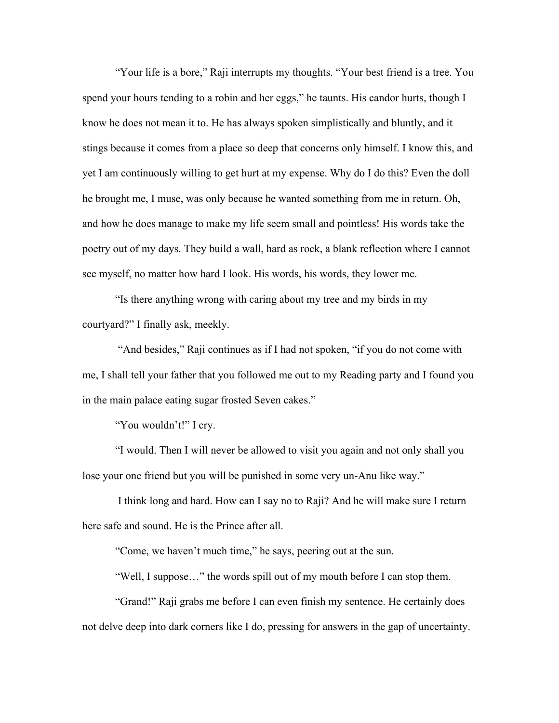"Your life is a bore," Raji interrupts my thoughts. "Your best friend is a tree. You spend your hours tending to a robin and her eggs," he taunts. His candor hurts, though I know he does not mean it to. He has always spoken simplistically and bluntly, and it stings because it comes from a place so deep that concerns only himself. I know this, and yet I am continuously willing to get hurt at my expense. Why do I do this? Even the doll he brought me, I muse, was only because he wanted something from me in return. Oh, and how he does manage to make my life seem small and pointless! His words take the poetry out of my days. They build a wall, hard as rock, a blank reflection where I cannot see myself, no matter how hard I look. His words, his words, they lower me.

"Is there anything wrong with caring about my tree and my birds in my courtyard?" I finally ask, meekly.

"And besides," Raji continues as if I had not spoken, "if you do not come with me, I shall tell your father that you followed me out to my Reading party and I found you in the main palace eating sugar frosted Seven cakes."

"You wouldn't!" I cry.

"I would. Then I will never be allowed to visit you again and not only shall you lose your one friend but you will be punished in some very un-Anu like way."

I think long and hard. How can I say no to Raji? And he will make sure I return here safe and sound. He is the Prince after all.

"Come, we haven't much time," he says, peering out at the sun.

"Well, I suppose…" the words spill out of my mouth before I can stop them.

"Grand!" Raji grabs me before I can even finish my sentence. He certainly does not delve deep into dark corners like I do, pressing for answers in the gap of uncertainty.